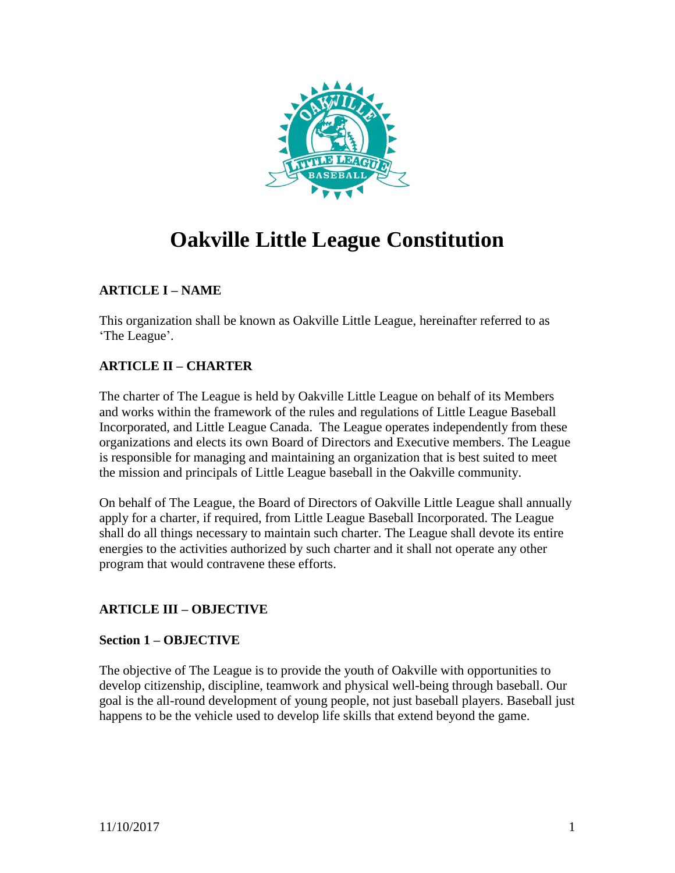

# **Oakville Little League Constitution**

# **ARTICLE I – NAME**

This organization shall be known as Oakville Little League, hereinafter referred to as 'The League'.

# **ARTICLE II – CHARTER**

The charter of The League is held by Oakville Little League on behalf of its Members and works within the framework of the rules and regulations of Little League Baseball Incorporated, and Little League Canada. The League operates independently from these organizations and elects its own Board of Directors and Executive members. The League is responsible for managing and maintaining an organization that is best suited to meet the mission and principals of Little League baseball in the Oakville community.

On behalf of The League, the Board of Directors of Oakville Little League shall annually apply for a charter, if required, from Little League Baseball Incorporated. The League shall do all things necessary to maintain such charter. The League shall devote its entire energies to the activities authorized by such charter and it shall not operate any other program that would contravene these efforts.

# **ARTICLE III – OBJECTIVE**

# **Section 1 – OBJECTIVE**

The objective of The League is to provide the youth of Oakville with opportunities to develop citizenship, discipline, teamwork and physical well-being through baseball. Our goal is the all-round development of young people, not just baseball players. Baseball just happens to be the vehicle used to develop life skills that extend beyond the game.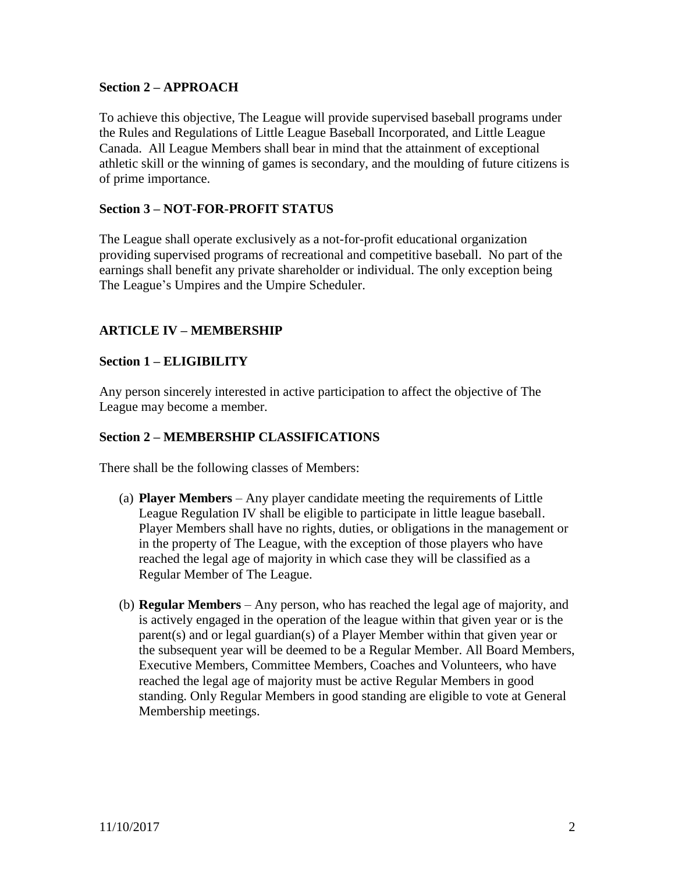# **Section 2 – APPROACH**

To achieve this objective, The League will provide supervised baseball programs under the Rules and Regulations of Little League Baseball Incorporated, and Little League Canada. All League Members shall bear in mind that the attainment of exceptional athletic skill or the winning of games is secondary, and the moulding of future citizens is of prime importance.

## **Section 3 – NOT-FOR-PROFIT STATUS**

The League shall operate exclusively as a not-for-profit educational organization providing supervised programs of recreational and competitive baseball. No part of the earnings shall benefit any private shareholder or individual. The only exception being The League's Umpires and the Umpire Scheduler.

# **ARTICLE IV – MEMBERSHIP**

#### **Section 1 – ELIGIBILITY**

Any person sincerely interested in active participation to affect the objective of The League may become a member.

#### **Section 2 – MEMBERSHIP CLASSIFICATIONS**

There shall be the following classes of Members:

- (a) **Player Members** Any player candidate meeting the requirements of Little League Regulation IV shall be eligible to participate in little league baseball. Player Members shall have no rights, duties, or obligations in the management or in the property of The League, with the exception of those players who have reached the legal age of majority in which case they will be classified as a Regular Member of The League.
- (b) **Regular Members** Any person, who has reached the legal age of majority, and is actively engaged in the operation of the league within that given year or is the parent(s) and or legal guardian(s) of a Player Member within that given year or the subsequent year will be deemed to be a Regular Member. All Board Members, Executive Members, Committee Members, Coaches and Volunteers, who have reached the legal age of majority must be active Regular Members in good standing. Only Regular Members in good standing are eligible to vote at General Membership meetings.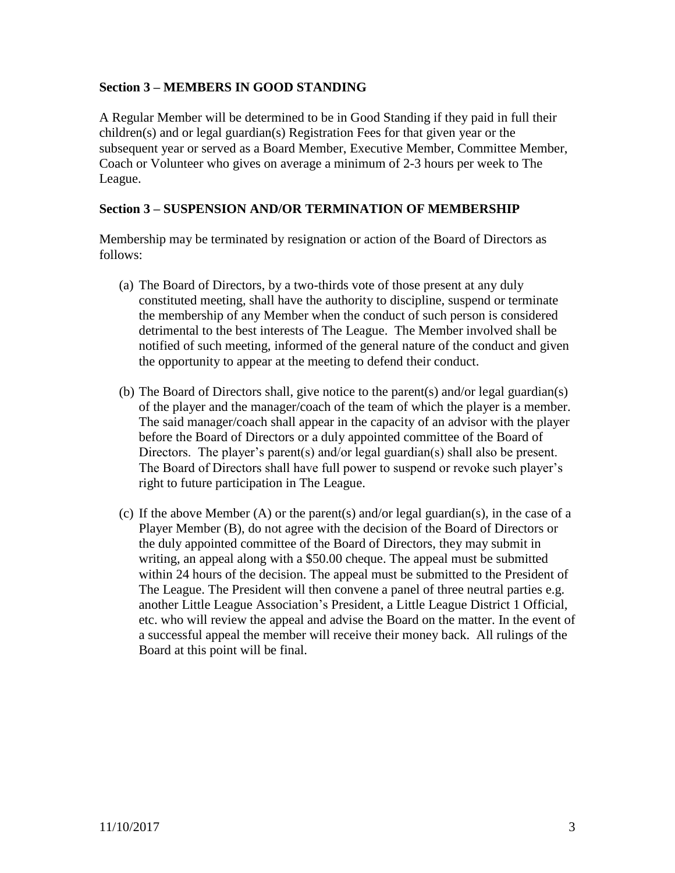# **Section 3 – MEMBERS IN GOOD STANDING**

A Regular Member will be determined to be in Good Standing if they paid in full their children(s) and or legal guardian(s) Registration Fees for that given year or the subsequent year or served as a Board Member, Executive Member, Committee Member, Coach or Volunteer who gives on average a minimum of 2-3 hours per week to The League.

# **Section 3 – SUSPENSION AND/OR TERMINATION OF MEMBERSHIP**

Membership may be terminated by resignation or action of the Board of Directors as follows:

- (a) The Board of Directors, by a two-thirds vote of those present at any duly constituted meeting, shall have the authority to discipline, suspend or terminate the membership of any Member when the conduct of such person is considered detrimental to the best interests of The League. The Member involved shall be notified of such meeting, informed of the general nature of the conduct and given the opportunity to appear at the meeting to defend their conduct.
- (b) The Board of Directors shall, give notice to the parent(s) and/or legal guardian(s) of the player and the manager/coach of the team of which the player is a member. The said manager/coach shall appear in the capacity of an advisor with the player before the Board of Directors or a duly appointed committee of the Board of Directors. The player's parent(s) and/or legal guardian(s) shall also be present. The Board of Directors shall have full power to suspend or revoke such player's right to future participation in The League.
- (c) If the above Member (A) or the parent(s) and/or legal guardian(s), in the case of a Player Member (B), do not agree with the decision of the Board of Directors or the duly appointed committee of the Board of Directors, they may submit in writing, an appeal along with a \$50.00 cheque. The appeal must be submitted within 24 hours of the decision. The appeal must be submitted to the President of The League. The President will then convene a panel of three neutral parties e.g. another Little League Association's President, a Little League District 1 Official, etc. who will review the appeal and advise the Board on the matter. In the event of a successful appeal the member will receive their money back. All rulings of the Board at this point will be final.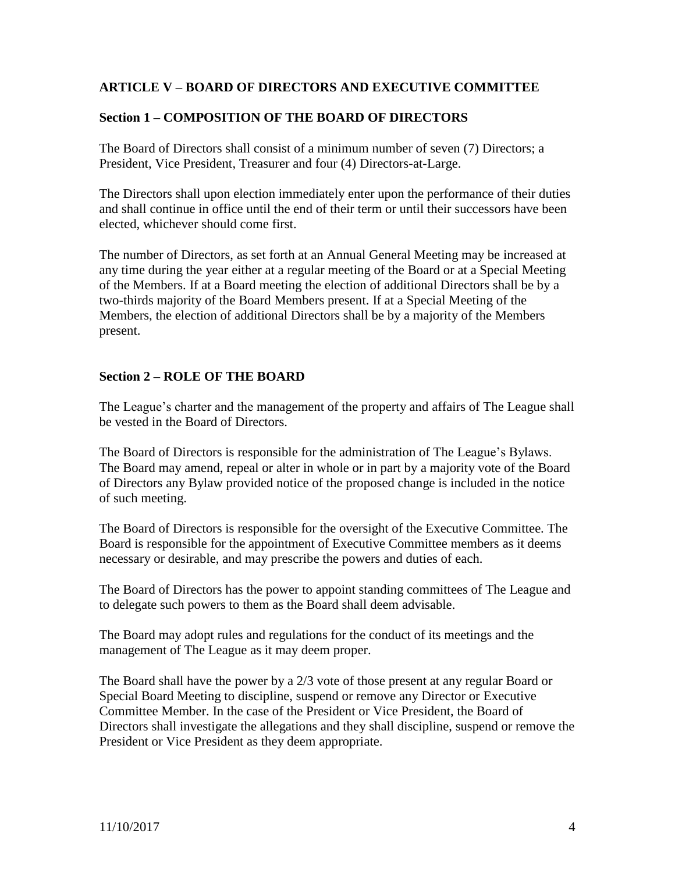# **ARTICLE V – BOARD OF DIRECTORS AND EXECUTIVE COMMITTEE**

# **Section 1 – COMPOSITION OF THE BOARD OF DIRECTORS**

The Board of Directors shall consist of a minimum number of seven (7) Directors; a President, Vice President, Treasurer and four (4) Directors-at-Large.

The Directors shall upon election immediately enter upon the performance of their duties and shall continue in office until the end of their term or until their successors have been elected, whichever should come first.

The number of Directors, as set forth at an Annual General Meeting may be increased at any time during the year either at a regular meeting of the Board or at a Special Meeting of the Members. If at a Board meeting the election of additional Directors shall be by a two-thirds majority of the Board Members present. If at a Special Meeting of the Members, the election of additional Directors shall be by a majority of the Members present.

# **Section 2 – ROLE OF THE BOARD**

The League's charter and the management of the property and affairs of The League shall be vested in the Board of Directors.

The Board of Directors is responsible for the administration of The League's Bylaws. The Board may amend, repeal or alter in whole or in part by a majority vote of the Board of Directors any Bylaw provided notice of the proposed change is included in the notice of such meeting.

The Board of Directors is responsible for the oversight of the Executive Committee. The Board is responsible for the appointment of Executive Committee members as it deems necessary or desirable, and may prescribe the powers and duties of each.

The Board of Directors has the power to appoint standing committees of The League and to delegate such powers to them as the Board shall deem advisable.

The Board may adopt rules and regulations for the conduct of its meetings and the management of The League as it may deem proper.

The Board shall have the power by a 2/3 vote of those present at any regular Board or Special Board Meeting to discipline, suspend or remove any Director or Executive Committee Member. In the case of the President or Vice President, the Board of Directors shall investigate the allegations and they shall discipline, suspend or remove the President or Vice President as they deem appropriate.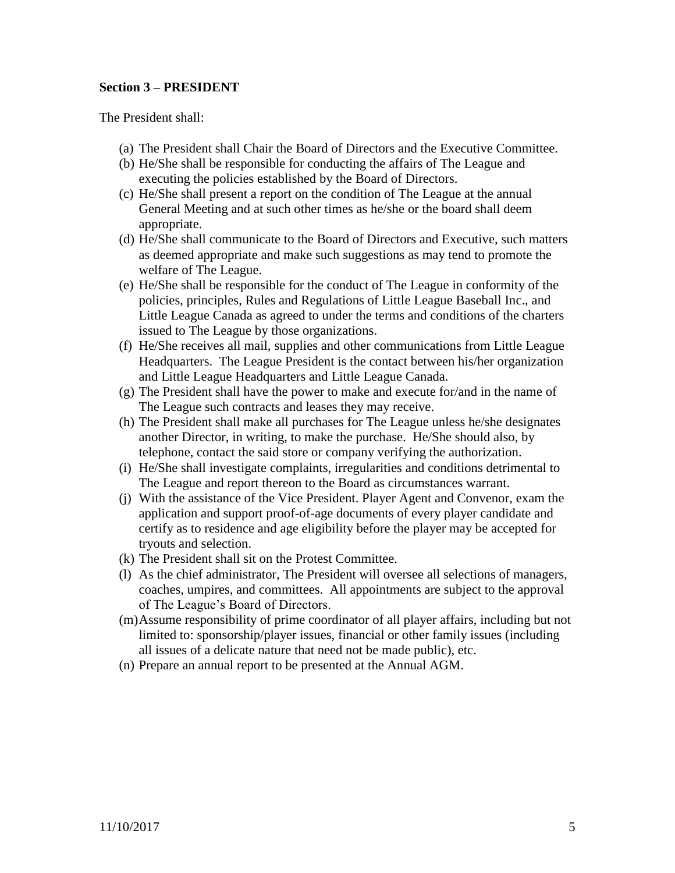## **Section 3 – PRESIDENT**

The President shall:

- (a) The President shall Chair the Board of Directors and the Executive Committee.
- (b) He/She shall be responsible for conducting the affairs of The League and executing the policies established by the Board of Directors.
- (c) He/She shall present a report on the condition of The League at the annual General Meeting and at such other times as he/she or the board shall deem appropriate.
- (d) He/She shall communicate to the Board of Directors and Executive, such matters as deemed appropriate and make such suggestions as may tend to promote the welfare of The League.
- (e) He/She shall be responsible for the conduct of The League in conformity of the policies, principles, Rules and Regulations of Little League Baseball Inc., and Little League Canada as agreed to under the terms and conditions of the charters issued to The League by those organizations.
- (f) He/She receives all mail, supplies and other communications from Little League Headquarters. The League President is the contact between his/her organization and Little League Headquarters and Little League Canada.
- (g) The President shall have the power to make and execute for/and in the name of The League such contracts and leases they may receive.
- (h) The President shall make all purchases for The League unless he/she designates another Director, in writing, to make the purchase. He/She should also, by telephone, contact the said store or company verifying the authorization.
- (i) He/She shall investigate complaints, irregularities and conditions detrimental to The League and report thereon to the Board as circumstances warrant.
- (j) With the assistance of the Vice President. Player Agent and Convenor, exam the application and support proof-of-age documents of every player candidate and certify as to residence and age eligibility before the player may be accepted for tryouts and selection.
- (k) The President shall sit on the Protest Committee.
- (l) As the chief administrator, The President will oversee all selections of managers, coaches, umpires, and committees. All appointments are subject to the approval of The League's Board of Directors.
- (m)Assume responsibility of prime coordinator of all player affairs, including but not limited to: sponsorship/player issues, financial or other family issues (including all issues of a delicate nature that need not be made public), etc.
- (n) Prepare an annual report to be presented at the Annual AGM.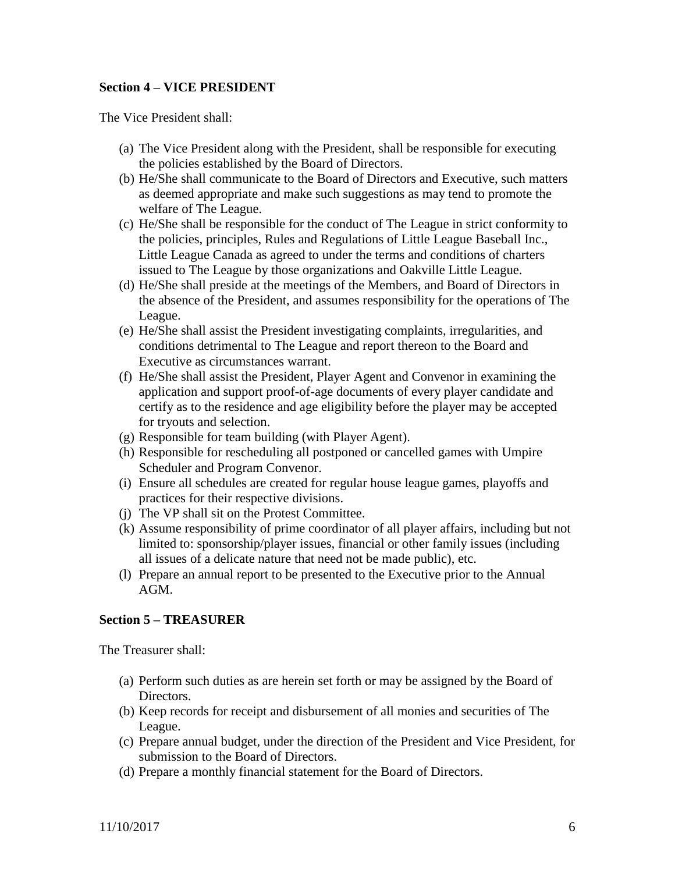## **Section 4 – VICE PRESIDENT**

The Vice President shall:

- (a) The Vice President along with the President, shall be responsible for executing the policies established by the Board of Directors.
- (b) He/She shall communicate to the Board of Directors and Executive, such matters as deemed appropriate and make such suggestions as may tend to promote the welfare of The League.
- (c) He/She shall be responsible for the conduct of The League in strict conformity to the policies, principles, Rules and Regulations of Little League Baseball Inc., Little League Canada as agreed to under the terms and conditions of charters issued to The League by those organizations and Oakville Little League.
- (d) He/She shall preside at the meetings of the Members, and Board of Directors in the absence of the President, and assumes responsibility for the operations of The League.
- (e) He/She shall assist the President investigating complaints, irregularities, and conditions detrimental to The League and report thereon to the Board and Executive as circumstances warrant.
- (f) He/She shall assist the President, Player Agent and Convenor in examining the application and support proof-of-age documents of every player candidate and certify as to the residence and age eligibility before the player may be accepted for tryouts and selection.
- (g) Responsible for team building (with Player Agent).
- (h) Responsible for rescheduling all postponed or cancelled games with Umpire Scheduler and Program Convenor.
- (i) Ensure all schedules are created for regular house league games, playoffs and practices for their respective divisions.
- (j) The VP shall sit on the Protest Committee.
- (k) Assume responsibility of prime coordinator of all player affairs, including but not limited to: sponsorship/player issues, financial or other family issues (including all issues of a delicate nature that need not be made public), etc.
- (l) Prepare an annual report to be presented to the Executive prior to the Annual AGM.

#### **Section 5 – TREASURER**

The Treasurer shall:

- (a) Perform such duties as are herein set forth or may be assigned by the Board of Directors.
- (b) Keep records for receipt and disbursement of all monies and securities of The League.
- (c) Prepare annual budget, under the direction of the President and Vice President, for submission to the Board of Directors.
- (d) Prepare a monthly financial statement for the Board of Directors.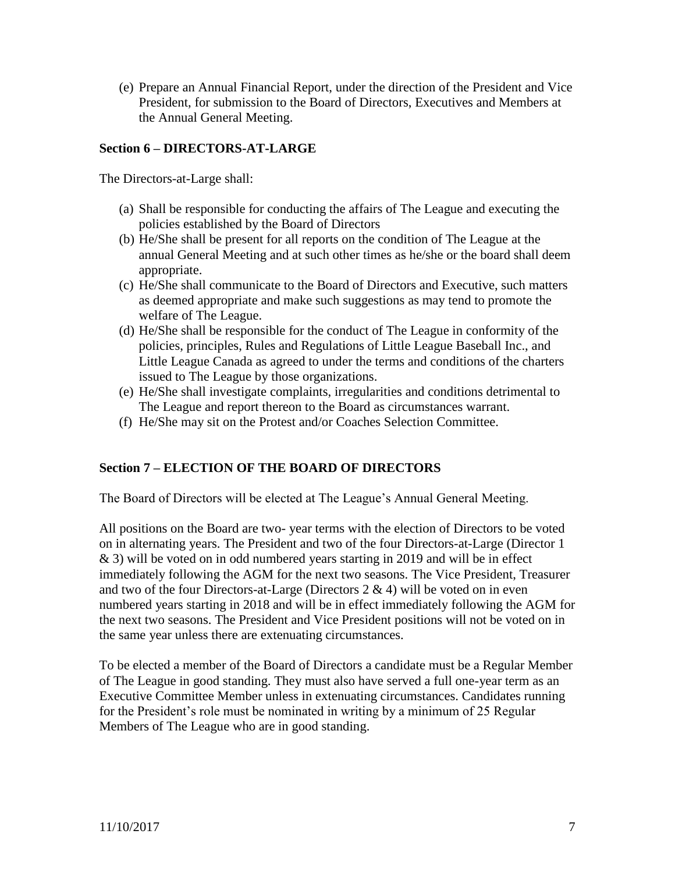(e) Prepare an Annual Financial Report, under the direction of the President and Vice President, for submission to the Board of Directors, Executives and Members at the Annual General Meeting.

## **Section 6 – DIRECTORS-AT-LARGE**

The Directors-at-Large shall:

- (a) Shall be responsible for conducting the affairs of The League and executing the policies established by the Board of Directors
- (b) He/She shall be present for all reports on the condition of The League at the annual General Meeting and at such other times as he/she or the board shall deem appropriate.
- (c) He/She shall communicate to the Board of Directors and Executive, such matters as deemed appropriate and make such suggestions as may tend to promote the welfare of The League.
- (d) He/She shall be responsible for the conduct of The League in conformity of the policies, principles, Rules and Regulations of Little League Baseball Inc., and Little League Canada as agreed to under the terms and conditions of the charters issued to The League by those organizations.
- (e) He/She shall investigate complaints, irregularities and conditions detrimental to The League and report thereon to the Board as circumstances warrant.
- (f) He/She may sit on the Protest and/or Coaches Selection Committee.

# **Section 7 – ELECTION OF THE BOARD OF DIRECTORS**

The Board of Directors will be elected at The League's Annual General Meeting.

All positions on the Board are two- year terms with the election of Directors to be voted on in alternating years. The President and two of the four Directors-at-Large (Director 1 & 3) will be voted on in odd numbered years starting in 2019 and will be in effect immediately following the AGM for the next two seasons. The Vice President, Treasurer and two of the four Directors-at-Large (Directors  $2 \& 4$ ) will be voted on in even numbered years starting in 2018 and will be in effect immediately following the AGM for the next two seasons. The President and Vice President positions will not be voted on in the same year unless there are extenuating circumstances.

To be elected a member of the Board of Directors a candidate must be a Regular Member of The League in good standing. They must also have served a full one-year term as an Executive Committee Member unless in extenuating circumstances. Candidates running for the President's role must be nominated in writing by a minimum of 25 Regular Members of The League who are in good standing.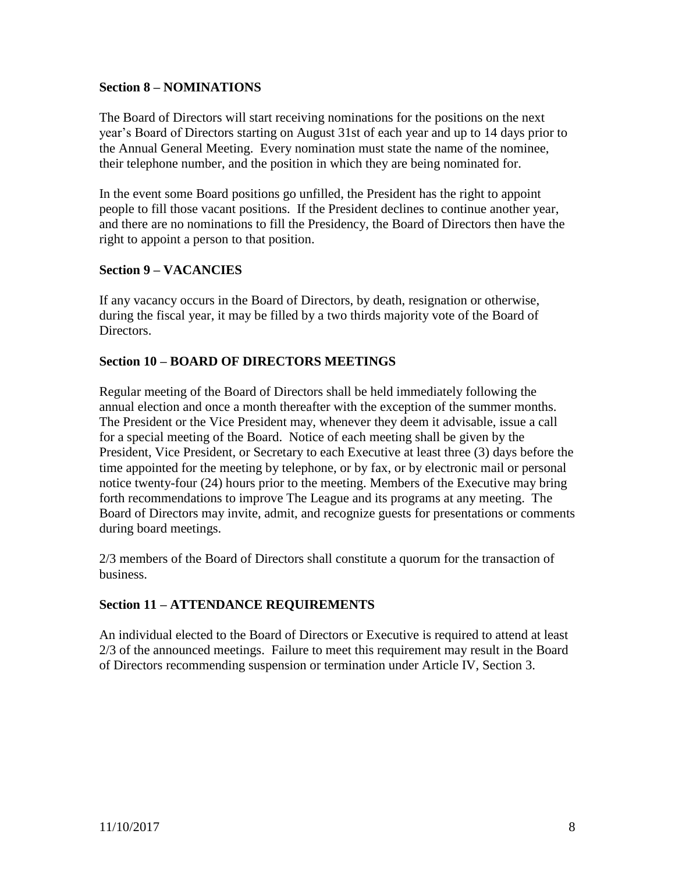## **Section 8 – NOMINATIONS**

The Board of Directors will start receiving nominations for the positions on the next year's Board of Directors starting on August 31st of each year and up to 14 days prior to the Annual General Meeting. Every nomination must state the name of the nominee, their telephone number, and the position in which they are being nominated for.

In the event some Board positions go unfilled, the President has the right to appoint people to fill those vacant positions. If the President declines to continue another year, and there are no nominations to fill the Presidency, the Board of Directors then have the right to appoint a person to that position.

## **Section 9 – VACANCIES**

If any vacancy occurs in the Board of Directors, by death, resignation or otherwise, during the fiscal year, it may be filled by a two thirds majority vote of the Board of Directors.

## **Section 10 – BOARD OF DIRECTORS MEETINGS**

Regular meeting of the Board of Directors shall be held immediately following the annual election and once a month thereafter with the exception of the summer months. The President or the Vice President may, whenever they deem it advisable, issue a call for a special meeting of the Board. Notice of each meeting shall be given by the President, Vice President, or Secretary to each Executive at least three (3) days before the time appointed for the meeting by telephone, or by fax, or by electronic mail or personal notice twenty-four (24) hours prior to the meeting. Members of the Executive may bring forth recommendations to improve The League and its programs at any meeting. The Board of Directors may invite, admit, and recognize guests for presentations or comments during board meetings.

2/3 members of the Board of Directors shall constitute a quorum for the transaction of business.

# **Section 11 – ATTENDANCE REQUIREMENTS**

An individual elected to the Board of Directors or Executive is required to attend at least 2/3 of the announced meetings. Failure to meet this requirement may result in the Board of Directors recommending suspension or termination under Article IV, Section 3.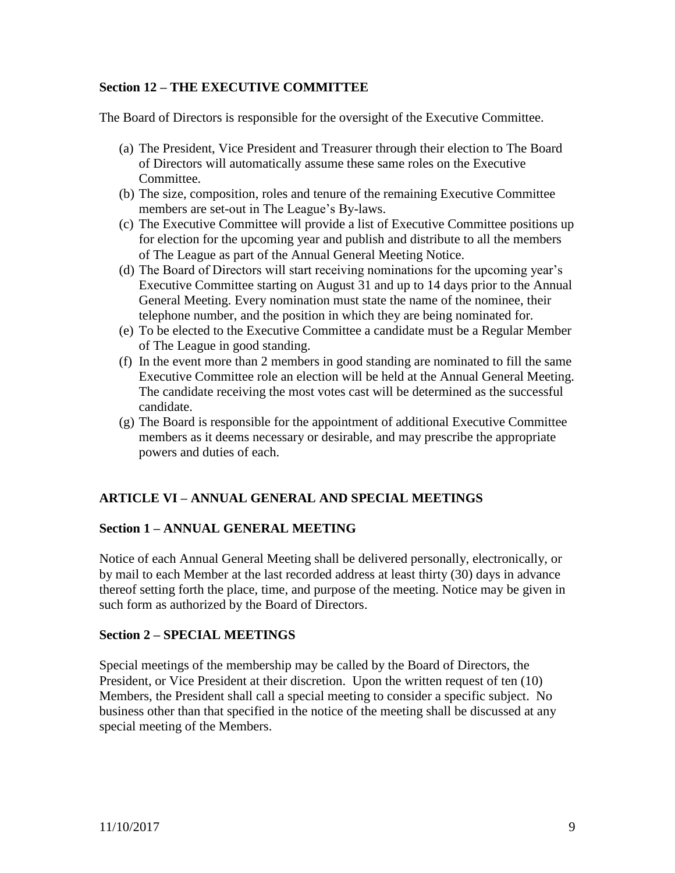# **Section 12 – THE EXECUTIVE COMMITTEE**

The Board of Directors is responsible for the oversight of the Executive Committee.

- (a) The President, Vice President and Treasurer through their election to The Board of Directors will automatically assume these same roles on the Executive Committee.
- (b) The size, composition, roles and tenure of the remaining Executive Committee members are set-out in The League's By-laws.
- (c) The Executive Committee will provide a list of Executive Committee positions up for election for the upcoming year and publish and distribute to all the members of The League as part of the Annual General Meeting Notice.
- (d) The Board of Directors will start receiving nominations for the upcoming year's Executive Committee starting on August 31 and up to 14 days prior to the Annual General Meeting. Every nomination must state the name of the nominee, their telephone number, and the position in which they are being nominated for.
- (e) To be elected to the Executive Committee a candidate must be a Regular Member of The League in good standing.
- (f) In the event more than 2 members in good standing are nominated to fill the same Executive Committee role an election will be held at the Annual General Meeting. The candidate receiving the most votes cast will be determined as the successful candidate.
- (g) The Board is responsible for the appointment of additional Executive Committee members as it deems necessary or desirable, and may prescribe the appropriate powers and duties of each.

# **ARTICLE VI – ANNUAL GENERAL AND SPECIAL MEETINGS**

#### **Section 1 – ANNUAL GENERAL MEETING**

Notice of each Annual General Meeting shall be delivered personally, electronically, or by mail to each Member at the last recorded address at least thirty (30) days in advance thereof setting forth the place, time, and purpose of the meeting. Notice may be given in such form as authorized by the Board of Directors.

#### **Section 2 – SPECIAL MEETINGS**

Special meetings of the membership may be called by the Board of Directors, the President, or Vice President at their discretion. Upon the written request of ten (10) Members, the President shall call a special meeting to consider a specific subject. No business other than that specified in the notice of the meeting shall be discussed at any special meeting of the Members.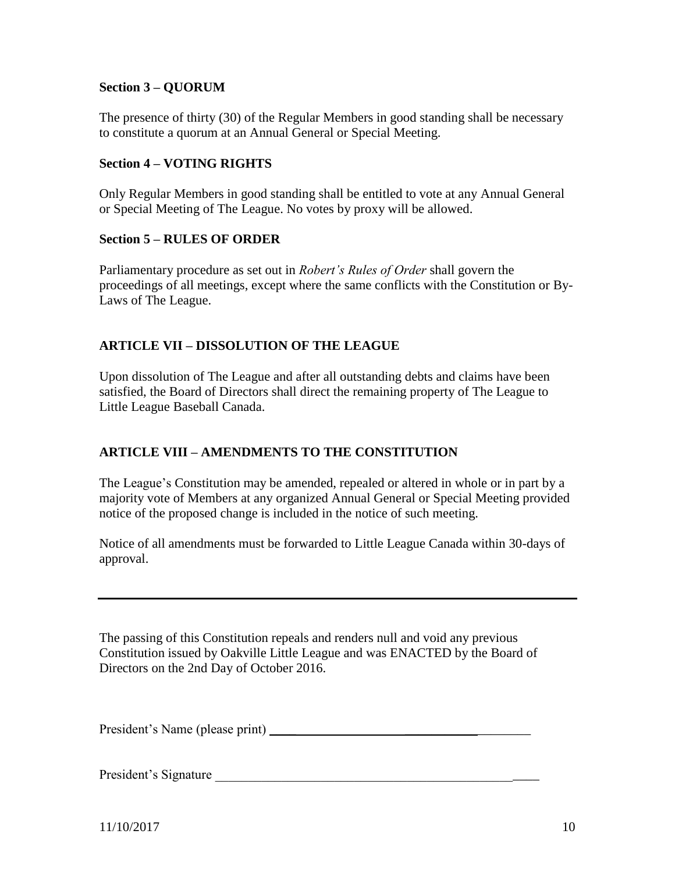# **Section 3 – QUORUM**

The presence of thirty (30) of the Regular Members in good standing shall be necessary to constitute a quorum at an Annual General or Special Meeting.

# **Section 4 – VOTING RIGHTS**

Only Regular Members in good standing shall be entitled to vote at any Annual General or Special Meeting of The League. No votes by proxy will be allowed.

## **Section 5 – RULES OF ORDER**

Parliamentary procedure as set out in *Robert's Rules of Order* shall govern the proceedings of all meetings, except where the same conflicts with the Constitution or By-Laws of The League.

# **ARTICLE VII – DISSOLUTION OF THE LEAGUE**

Upon dissolution of The League and after all outstanding debts and claims have been satisfied, the Board of Directors shall direct the remaining property of The League to Little League Baseball Canada.

# **ARTICLE VIII – AMENDMENTS TO THE CONSTITUTION**

The League's Constitution may be amended, repealed or altered in whole or in part by a majority vote of Members at any organized Annual General or Special Meeting provided notice of the proposed change is included in the notice of such meeting.

Notice of all amendments must be forwarded to Little League Canada within 30-days of approval.

The passing of this Constitution repeals and renders null and void any previous Constitution issued by Oakville Little League and was ENACTED by the Board of Directors on the 2nd Day of October 2016.

President's Name (please print) \_\_\_\_ \_\_\_\_\_\_\_\_\_\_\_\_\_\_\_\_\_\_\_

President's Signature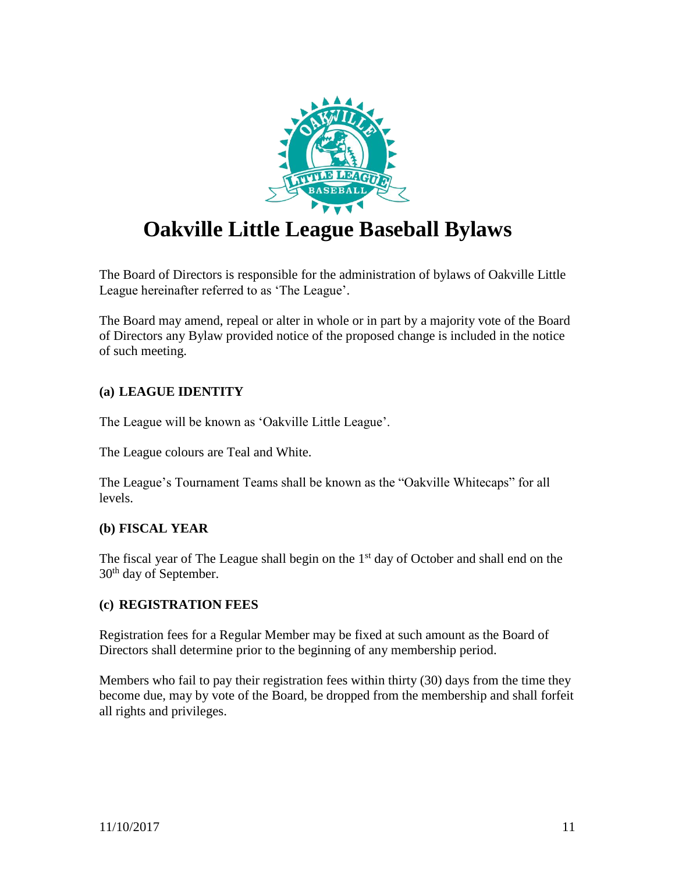

# **Oakville Little League Baseball Bylaws**

The Board of Directors is responsible for the administration of bylaws of Oakville Little League hereinafter referred to as 'The League'.

The Board may amend, repeal or alter in whole or in part by a majority vote of the Board of Directors any Bylaw provided notice of the proposed change is included in the notice of such meeting.

# **(a) LEAGUE IDENTITY**

The League will be known as 'Oakville Little League'.

The League colours are Teal and White.

The League's Tournament Teams shall be known as the "Oakville Whitecaps" for all levels.

# **(b) FISCAL YEAR**

The fiscal year of The League shall begin on the  $1<sup>st</sup>$  day of October and shall end on the 30<sup>th</sup> day of September.

# **(c) REGISTRATION FEES**

Registration fees for a Regular Member may be fixed at such amount as the Board of Directors shall determine prior to the beginning of any membership period.

Members who fail to pay their registration fees within thirty (30) days from the time they become due, may by vote of the Board, be dropped from the membership and shall forfeit all rights and privileges.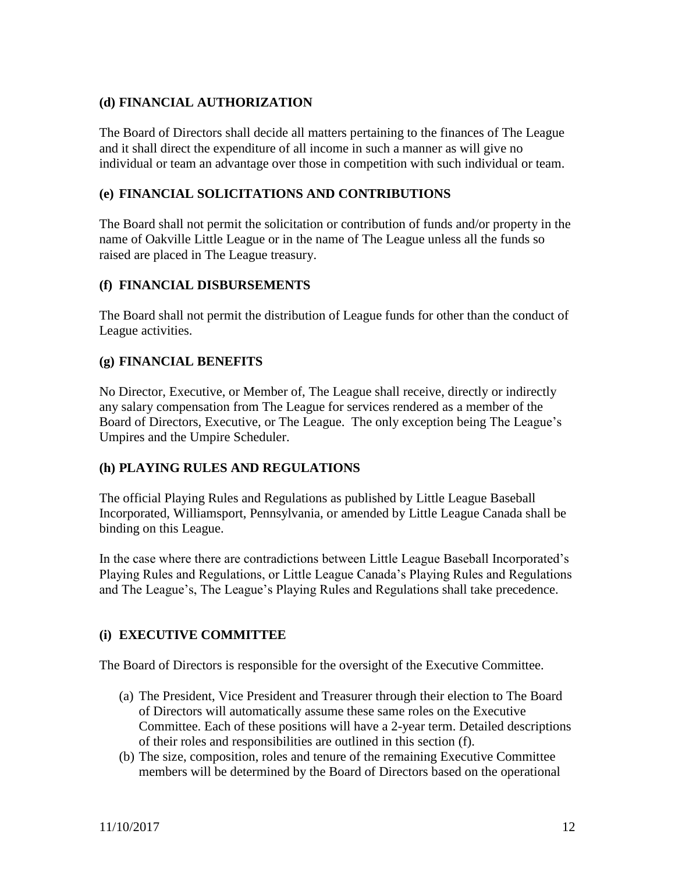# **(d) FINANCIAL AUTHORIZATION**

The Board of Directors shall decide all matters pertaining to the finances of The League and it shall direct the expenditure of all income in such a manner as will give no individual or team an advantage over those in competition with such individual or team.

# **(e) FINANCIAL SOLICITATIONS AND CONTRIBUTIONS**

The Board shall not permit the solicitation or contribution of funds and/or property in the name of Oakville Little League or in the name of The League unless all the funds so raised are placed in The League treasury.

# **(f) FINANCIAL DISBURSEMENTS**

The Board shall not permit the distribution of League funds for other than the conduct of League activities.

# **(g) FINANCIAL BENEFITS**

No Director, Executive, or Member of, The League shall receive, directly or indirectly any salary compensation from The League for services rendered as a member of the Board of Directors, Executive, or The League. The only exception being The League's Umpires and the Umpire Scheduler.

# **(h) PLAYING RULES AND REGULATIONS**

The official Playing Rules and Regulations as published by Little League Baseball Incorporated, Williamsport, Pennsylvania, or amended by Little League Canada shall be binding on this League.

In the case where there are contradictions between Little League Baseball Incorporated's Playing Rules and Regulations, or Little League Canada's Playing Rules and Regulations and The League's, The League's Playing Rules and Regulations shall take precedence.

# **(i) EXECUTIVE COMMITTEE**

The Board of Directors is responsible for the oversight of the Executive Committee.

- (a) The President, Vice President and Treasurer through their election to The Board of Directors will automatically assume these same roles on the Executive Committee. Each of these positions will have a 2-year term. Detailed descriptions of their roles and responsibilities are outlined in this section (f).
- (b) The size, composition, roles and tenure of the remaining Executive Committee members will be determined by the Board of Directors based on the operational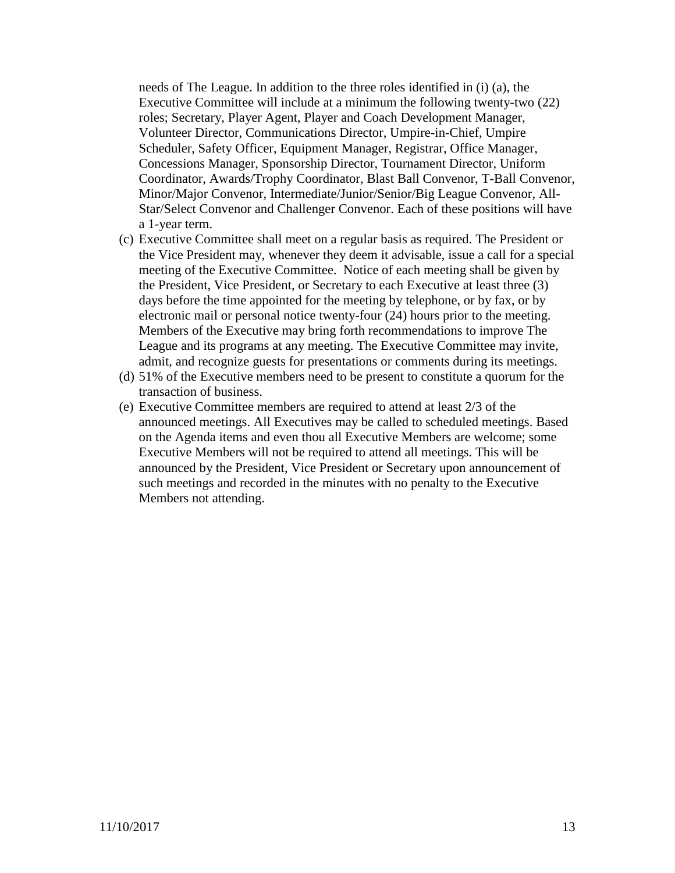needs of The League. In addition to the three roles identified in (i) (a), the Executive Committee will include at a minimum the following twenty-two (22) roles; Secretary, Player Agent, Player and Coach Development Manager, Volunteer Director, Communications Director, Umpire-in-Chief, Umpire Scheduler, Safety Officer, Equipment Manager, Registrar, Office Manager, Concessions Manager, Sponsorship Director, Tournament Director, Uniform Coordinator, Awards/Trophy Coordinator, Blast Ball Convenor, T-Ball Convenor, Minor/Major Convenor, Intermediate/Junior/Senior/Big League Convenor, All-Star/Select Convenor and Challenger Convenor. Each of these positions will have a 1-year term.

- (c) Executive Committee shall meet on a regular basis as required. The President or the Vice President may, whenever they deem it advisable, issue a call for a special meeting of the Executive Committee. Notice of each meeting shall be given by the President, Vice President, or Secretary to each Executive at least three (3) days before the time appointed for the meeting by telephone, or by fax, or by electronic mail or personal notice twenty-four (24) hours prior to the meeting. Members of the Executive may bring forth recommendations to improve The League and its programs at any meeting. The Executive Committee may invite, admit, and recognize guests for presentations or comments during its meetings.
- (d) 51% of the Executive members need to be present to constitute a quorum for the transaction of business.
- (e) Executive Committee members are required to attend at least 2/3 of the announced meetings. All Executives may be called to scheduled meetings. Based on the Agenda items and even thou all Executive Members are welcome; some Executive Members will not be required to attend all meetings. This will be announced by the President, Vice President or Secretary upon announcement of such meetings and recorded in the minutes with no penalty to the Executive Members not attending.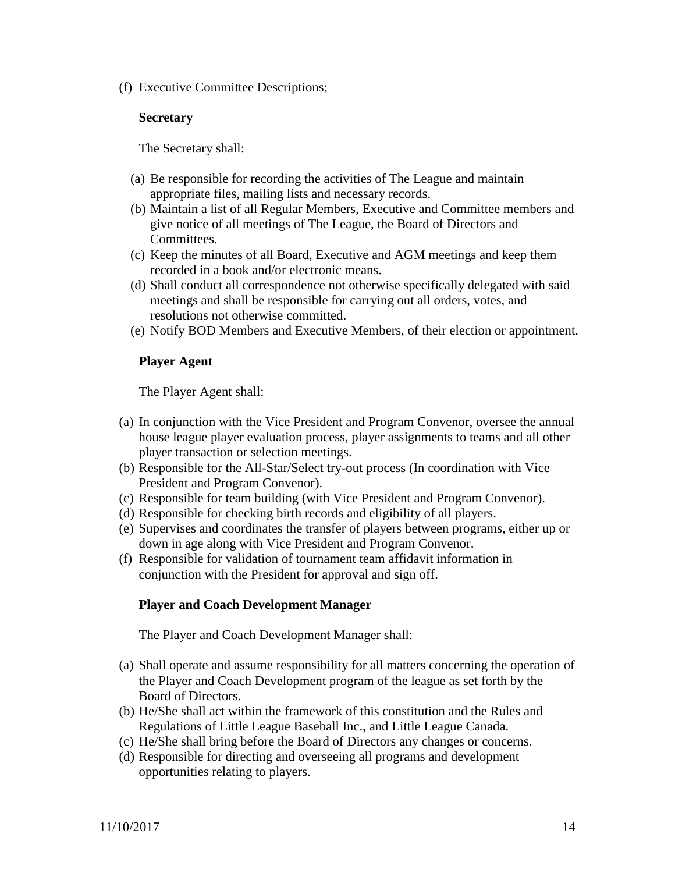(f) Executive Committee Descriptions;

#### **Secretary**

The Secretary shall:

- (a) Be responsible for recording the activities of The League and maintain appropriate files, mailing lists and necessary records.
- (b) Maintain a list of all Regular Members, Executive and Committee members and give notice of all meetings of The League, the Board of Directors and Committees.
- (c) Keep the minutes of all Board, Executive and AGM meetings and keep them recorded in a book and/or electronic means.
- (d) Shall conduct all correspondence not otherwise specifically delegated with said meetings and shall be responsible for carrying out all orders, votes, and resolutions not otherwise committed.
- (e) Notify BOD Members and Executive Members, of their election or appointment.

#### **Player Agent**

The Player Agent shall:

- (a) In conjunction with the Vice President and Program Convenor, oversee the annual house league player evaluation process, player assignments to teams and all other player transaction or selection meetings.
- (b) Responsible for the All-Star/Select try-out process (In coordination with Vice President and Program Convenor).
- (c) Responsible for team building (with Vice President and Program Convenor).
- (d) Responsible for checking birth records and eligibility of all players.
- (e) Supervises and coordinates the transfer of players between programs, either up or down in age along with Vice President and Program Convenor.
- (f) Responsible for validation of tournament team affidavit information in conjunction with the President for approval and sign off.

#### **Player and Coach Development Manager**

The Player and Coach Development Manager shall:

- (a) Shall operate and assume responsibility for all matters concerning the operation of the Player and Coach Development program of the league as set forth by the Board of Directors.
- (b) He/She shall act within the framework of this constitution and the Rules and Regulations of Little League Baseball Inc., and Little League Canada.
- (c) He/She shall bring before the Board of Directors any changes or concerns.
- (d) Responsible for directing and overseeing all programs and development opportunities relating to players.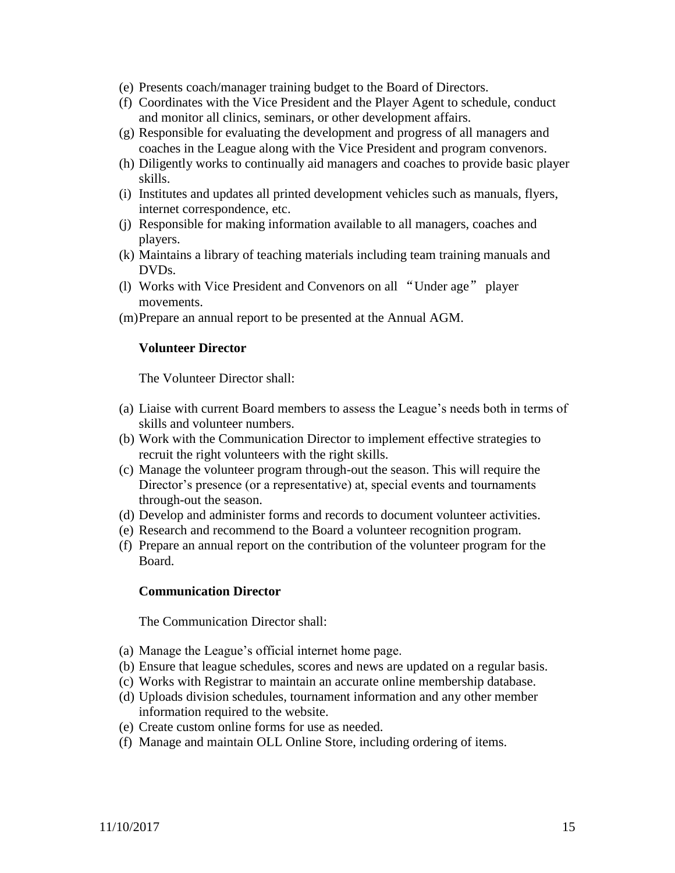- (e) Presents coach/manager training budget to the Board of Directors.
- (f) Coordinates with the Vice President and the Player Agent to schedule, conduct and monitor all clinics, seminars, or other development affairs.
- (g) Responsible for evaluating the development and progress of all managers and coaches in the League along with the Vice President and program convenors.
- (h) Diligently works to continually aid managers and coaches to provide basic player skills.
- (i) Institutes and updates all printed development vehicles such as manuals, flyers, internet correspondence, etc.
- (j) Responsible for making information available to all managers, coaches and players.
- (k) Maintains a library of teaching materials including team training manuals and DVDs.
- (l) Works with Vice President and Convenors on all "Under age" player movements.
- (m)Prepare an annual report to be presented at the Annual AGM.

#### **Volunteer Director**

The Volunteer Director shall:

- (a) Liaise with current Board members to assess the League's needs both in terms of skills and volunteer numbers.
- (b) Work with the Communication Director to implement effective strategies to recruit the right volunteers with the right skills.
- (c) Manage the volunteer program through-out the season. This will require the Director's presence (or a representative) at, special events and tournaments through-out the season.
- (d) Develop and administer forms and records to document volunteer activities.
- (e) Research and recommend to the Board a volunteer recognition program.
- (f) Prepare an annual report on the contribution of the volunteer program for the Board.

#### **Communication Director**

The Communication Director shall:

- (a) Manage the League's official internet home page.
- (b) Ensure that league schedules, scores and news are updated on a regular basis.
- (c) Works with Registrar to maintain an accurate online membership database.
- (d) Uploads division schedules, tournament information and any other member information required to the website.
- (e) Create custom online forms for use as needed.
- (f) Manage and maintain OLL Online Store, including ordering of items.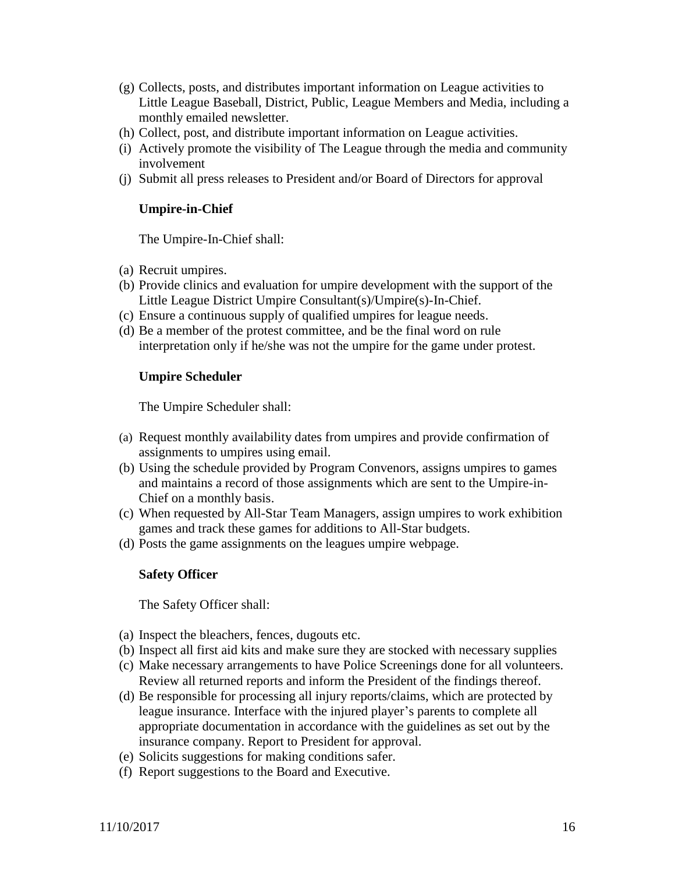- (g) Collects, posts, and distributes important information on League activities to Little League Baseball, District, Public, League Members and Media, including a monthly emailed newsletter.
- (h) Collect, post, and distribute important information on League activities.
- (i) Actively promote the visibility of The League through the media and community involvement
- (j) Submit all press releases to President and/or Board of Directors for approval

#### **Umpire-in-Chief**

The Umpire-In-Chief shall:

- (a) Recruit umpires.
- (b) Provide clinics and evaluation for umpire development with the support of the Little League District Umpire Consultant(s)/Umpire(s)-In-Chief.
- (c) Ensure a continuous supply of qualified umpires for league needs.
- (d) Be a member of the protest committee, and be the final word on rule interpretation only if he/she was not the umpire for the game under protest.

#### **Umpire Scheduler**

The Umpire Scheduler shall:

- (a) Request monthly availability dates from umpires and provide confirmation of assignments to umpires using email.
- (b) Using the schedule provided by Program Convenors, assigns umpires to games and maintains a record of those assignments which are sent to the Umpire-in-Chief on a monthly basis.
- (c) When requested by All-Star Team Managers, assign umpires to work exhibition games and track these games for additions to All-Star budgets.
- (d) Posts the game assignments on the leagues umpire webpage.

#### **Safety Officer**

The Safety Officer shall:

- (a) Inspect the bleachers, fences, dugouts etc.
- (b) Inspect all first aid kits and make sure they are stocked with necessary supplies
- (c) Make necessary arrangements to have Police Screenings done for all volunteers. Review all returned reports and inform the President of the findings thereof.
- (d) Be responsible for processing all injury reports/claims, which are protected by league insurance. Interface with the injured player's parents to complete all appropriate documentation in accordance with the guidelines as set out by the insurance company. Report to President for approval.
- (e) Solicits suggestions for making conditions safer.
- (f) Report suggestions to the Board and Executive.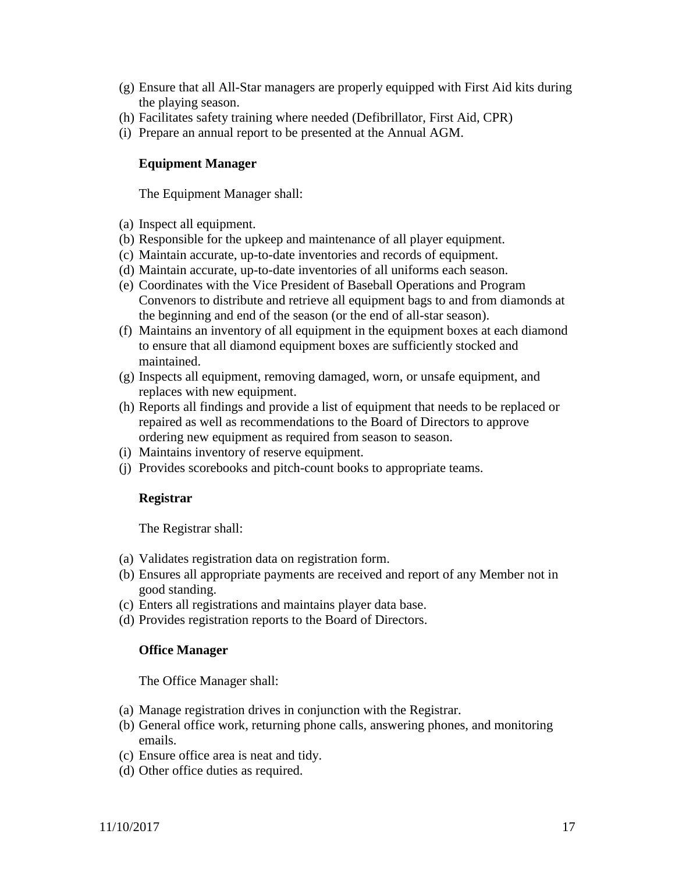- (g) Ensure that all All-Star managers are properly equipped with First Aid kits during the playing season.
- (h) Facilitates safety training where needed (Defibrillator, First Aid, CPR)
- (i) Prepare an annual report to be presented at the Annual AGM.

## **Equipment Manager**

The Equipment Manager shall:

- (a) Inspect all equipment.
- (b) Responsible for the upkeep and maintenance of all player equipment.
- (c) Maintain accurate, up-to-date inventories and records of equipment.
- (d) Maintain accurate, up-to-date inventories of all uniforms each season.
- (e) Coordinates with the Vice President of Baseball Operations and Program Convenors to distribute and retrieve all equipment bags to and from diamonds at the beginning and end of the season (or the end of all-star season).
- (f) Maintains an inventory of all equipment in the equipment boxes at each diamond to ensure that all diamond equipment boxes are sufficiently stocked and maintained.
- (g) Inspects all equipment, removing damaged, worn, or unsafe equipment, and replaces with new equipment.
- (h) Reports all findings and provide a list of equipment that needs to be replaced or repaired as well as recommendations to the Board of Directors to approve ordering new equipment as required from season to season.
- (i) Maintains inventory of reserve equipment.
- (j) Provides scorebooks and pitch-count books to appropriate teams.

#### **Registrar**

The Registrar shall:

- (a) Validates registration data on registration form.
- (b) Ensures all appropriate payments are received and report of any Member not in good standing.
- (c) Enters all registrations and maintains player data base.
- (d) Provides registration reports to the Board of Directors.

#### **Office Manager**

The Office Manager shall:

- (a) Manage registration drives in conjunction with the Registrar.
- (b) General office work, returning phone calls, answering phones, and monitoring emails.
- (c) Ensure office area is neat and tidy.
- (d) Other office duties as required.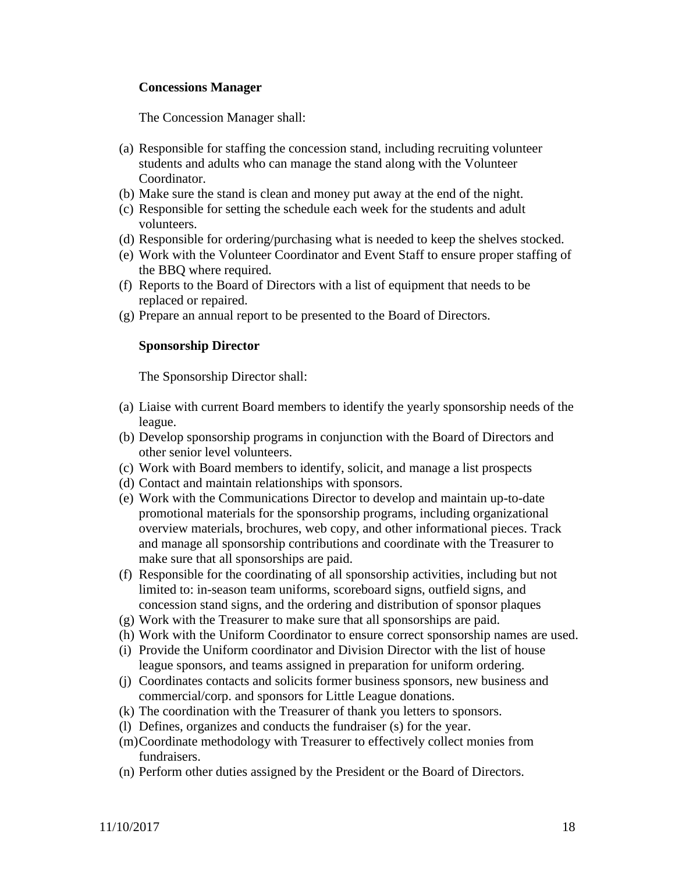#### **Concessions Manager**

The Concession Manager shall:

- (a) Responsible for staffing the concession stand, including recruiting volunteer students and adults who can manage the stand along with the Volunteer Coordinator.
- (b) Make sure the stand is clean and money put away at the end of the night.
- (c) Responsible for setting the schedule each week for the students and adult volunteers.
- (d) Responsible for ordering/purchasing what is needed to keep the shelves stocked.
- (e) Work with the Volunteer Coordinator and Event Staff to ensure proper staffing of the BBQ where required.
- (f) Reports to the Board of Directors with a list of equipment that needs to be replaced or repaired.
- (g) Prepare an annual report to be presented to the Board of Directors.

#### **Sponsorship Director**

The Sponsorship Director shall:

- (a) Liaise with current Board members to identify the yearly sponsorship needs of the league.
- (b) Develop sponsorship programs in conjunction with the Board of Directors and other senior level volunteers.
- (c) Work with Board members to identify, solicit, and manage a list prospects
- (d) Contact and maintain relationships with sponsors.
- (e) Work with the Communications Director to develop and maintain up-to-date promotional materials for the sponsorship programs, including organizational overview materials, brochures, web copy, and other informational pieces. Track and manage all sponsorship contributions and coordinate with the Treasurer to make sure that all sponsorships are paid.
- (f) Responsible for the coordinating of all sponsorship activities, including but not limited to: in-season team uniforms, scoreboard signs, outfield signs, and concession stand signs, and the ordering and distribution of sponsor plaques
- (g) Work with the Treasurer to make sure that all sponsorships are paid.
- (h) Work with the Uniform Coordinator to ensure correct sponsorship names are used.
- (i) Provide the Uniform coordinator and Division Director with the list of house league sponsors, and teams assigned in preparation for uniform ordering.
- (j) Coordinates contacts and solicits former business sponsors, new business and commercial/corp. and sponsors for Little League donations.
- (k) The coordination with the Treasurer of thank you letters to sponsors.
- (l) Defines, organizes and conducts the fundraiser (s) for the year.
- (m)Coordinate methodology with Treasurer to effectively collect monies from fundraisers.
- (n) Perform other duties assigned by the President or the Board of Directors.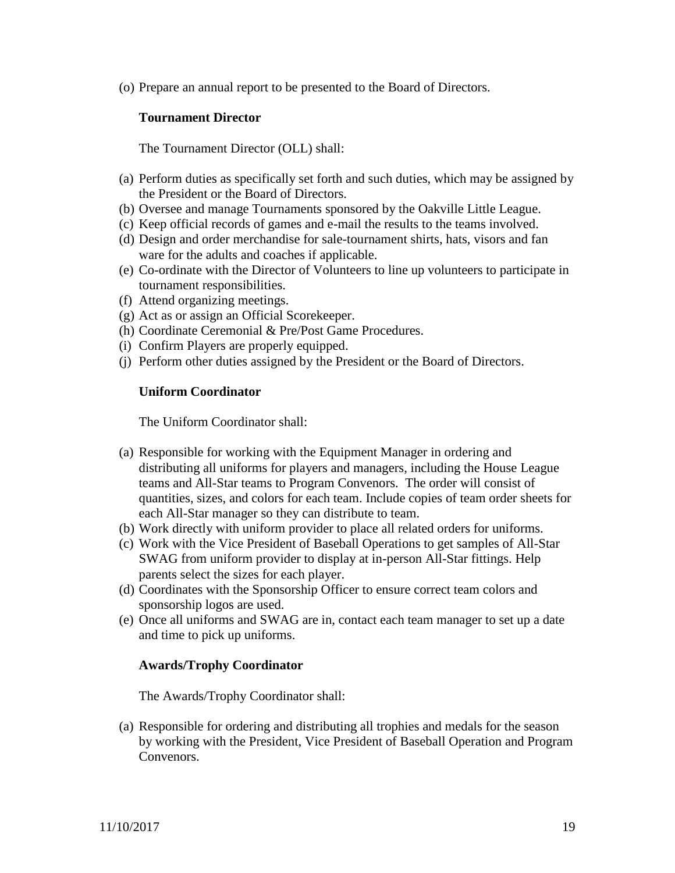(o) Prepare an annual report to be presented to the Board of Directors.

#### **Tournament Director**

The Tournament Director (OLL) shall:

- (a) Perform duties as specifically set forth and such duties, which may be assigned by the President or the Board of Directors.
- (b) Oversee and manage Tournaments sponsored by the Oakville Little League.
- (c) Keep official records of games and e-mail the results to the teams involved.
- (d) Design and order merchandise for sale-tournament shirts, hats, visors and fan ware for the adults and coaches if applicable.
- (e) Co-ordinate with the Director of Volunteers to line up volunteers to participate in tournament responsibilities.
- (f) Attend organizing meetings.
- (g) Act as or assign an Official Scorekeeper.
- (h) Coordinate Ceremonial & Pre/Post Game Procedures.
- (i) Confirm Players are properly equipped.
- (j) Perform other duties assigned by the President or the Board of Directors.

## **Uniform Coordinator**

The Uniform Coordinator shall:

- (a) Responsible for working with the Equipment Manager in ordering and distributing all uniforms for players and managers, including the House League teams and All-Star teams to Program Convenors. The order will consist of quantities, sizes, and colors for each team. Include copies of team order sheets for each All-Star manager so they can distribute to team.
- (b) Work directly with uniform provider to place all related orders for uniforms.
- (c) Work with the Vice President of Baseball Operations to get samples of All-Star SWAG from uniform provider to display at in-person All-Star fittings. Help parents select the sizes for each player.
- (d) Coordinates with the Sponsorship Officer to ensure correct team colors and sponsorship logos are used.
- (e) Once all uniforms and SWAG are in, contact each team manager to set up a date and time to pick up uniforms.

#### **Awards/Trophy Coordinator**

The Awards/Trophy Coordinator shall:

(a) Responsible for ordering and distributing all trophies and medals for the season by working with the President, Vice President of Baseball Operation and Program Convenors.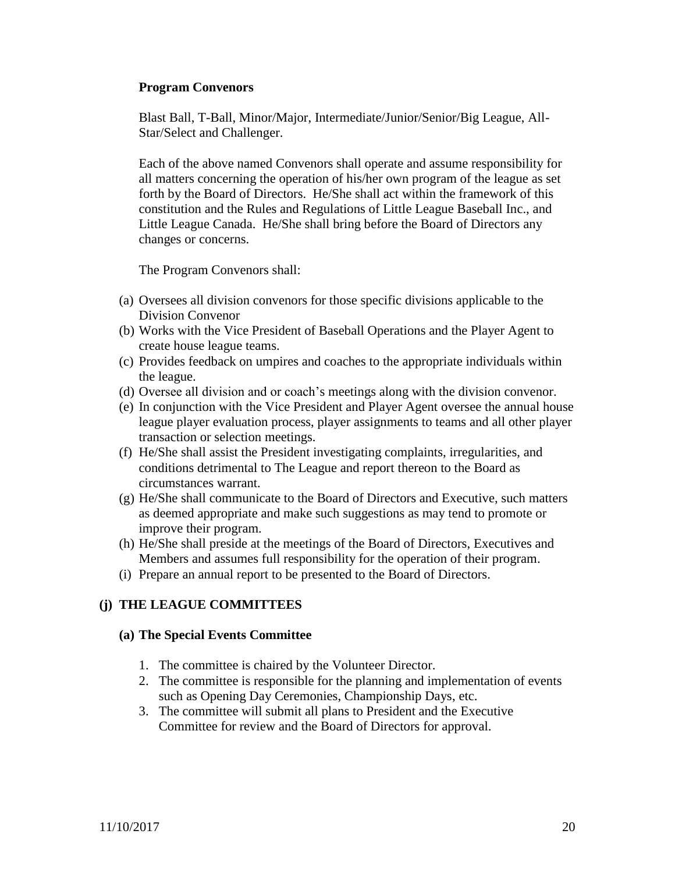#### **Program Convenors**

Blast Ball, T-Ball, Minor/Major, Intermediate/Junior/Senior/Big League, All-Star/Select and Challenger.

Each of the above named Convenors shall operate and assume responsibility for all matters concerning the operation of his/her own program of the league as set forth by the Board of Directors. He/She shall act within the framework of this constitution and the Rules and Regulations of Little League Baseball Inc., and Little League Canada. He/She shall bring before the Board of Directors any changes or concerns.

The Program Convenors shall:

- (a) Oversees all division convenors for those specific divisions applicable to the Division Convenor
- (b) Works with the Vice President of Baseball Operations and the Player Agent to create house league teams.
- (c) Provides feedback on umpires and coaches to the appropriate individuals within the league.
- (d) Oversee all division and or coach's meetings along with the division convenor.
- (e) In conjunction with the Vice President and Player Agent oversee the annual house league player evaluation process, player assignments to teams and all other player transaction or selection meetings.
- (f) He/She shall assist the President investigating complaints, irregularities, and conditions detrimental to The League and report thereon to the Board as circumstances warrant.
- (g) He/She shall communicate to the Board of Directors and Executive, such matters as deemed appropriate and make such suggestions as may tend to promote or improve their program.
- (h) He/She shall preside at the meetings of the Board of Directors, Executives and Members and assumes full responsibility for the operation of their program.
- (i) Prepare an annual report to be presented to the Board of Directors.

# **(j) THE LEAGUE COMMITTEES**

#### **(a) The Special Events Committee**

- 1. The committee is chaired by the Volunteer Director.
- 2. The committee is responsible for the planning and implementation of events such as Opening Day Ceremonies, Championship Days, etc.
- 3. The committee will submit all plans to President and the Executive Committee for review and the Board of Directors for approval.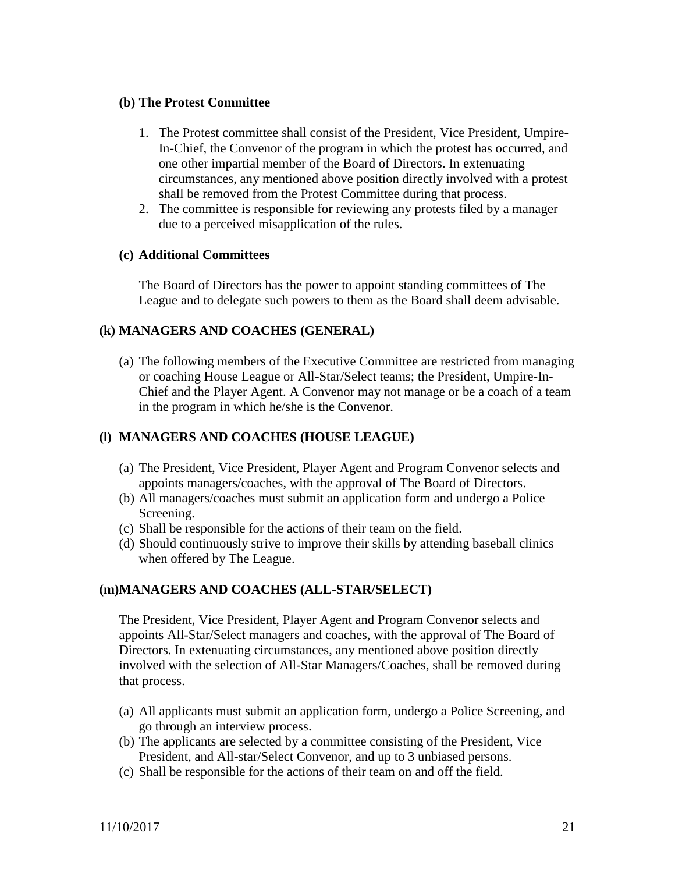#### **(b) The Protest Committee**

- 1. The Protest committee shall consist of the President, Vice President, Umpire-In-Chief, the Convenor of the program in which the protest has occurred, and one other impartial member of the Board of Directors. In extenuating circumstances, any mentioned above position directly involved with a protest shall be removed from the Protest Committee during that process.
- 2. The committee is responsible for reviewing any protests filed by a manager due to a perceived misapplication of the rules.

#### **(c) Additional Committees**

The Board of Directors has the power to appoint standing committees of The League and to delegate such powers to them as the Board shall deem advisable.

#### **(k) MANAGERS AND COACHES (GENERAL)**

(a) The following members of the Executive Committee are restricted from managing or coaching House League or All-Star/Select teams; the President, Umpire-In-Chief and the Player Agent. A Convenor may not manage or be a coach of a team in the program in which he/she is the Convenor.

#### **(l) MANAGERS AND COACHES (HOUSE LEAGUE)**

- (a) The President, Vice President, Player Agent and Program Convenor selects and appoints managers/coaches, with the approval of The Board of Directors.
- (b) All managers/coaches must submit an application form and undergo a Police Screening.
- (c) Shall be responsible for the actions of their team on the field.
- (d) Should continuously strive to improve their skills by attending baseball clinics when offered by The League.

#### **(m)MANAGERS AND COACHES (ALL-STAR/SELECT)**

The President, Vice President, Player Agent and Program Convenor selects and appoints All-Star/Select managers and coaches, with the approval of The Board of Directors. In extenuating circumstances, any mentioned above position directly involved with the selection of All-Star Managers/Coaches, shall be removed during that process.

- (a) All applicants must submit an application form, undergo a Police Screening, and go through an interview process.
- (b) The applicants are selected by a committee consisting of the President, Vice President, and All-star/Select Convenor, and up to 3 unbiased persons.
- (c) Shall be responsible for the actions of their team on and off the field.